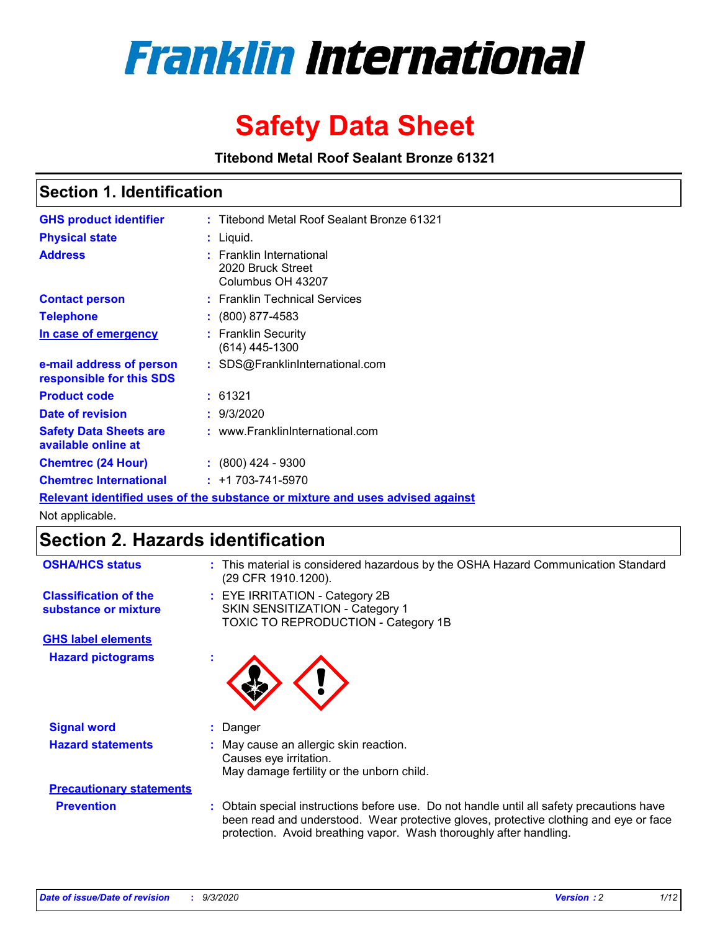

# **Safety Data Sheet**

**Titebond Metal Roof Sealant Bronze 61321**

### **Section 1. Identification**

| <b>GHS product identifier</b>                        | : Titebond Metal Roof Sealant Bronze 61321                                    |
|------------------------------------------------------|-------------------------------------------------------------------------------|
| <b>Physical state</b>                                | : Liquid.                                                                     |
| <b>Address</b>                                       | : Franklin International<br>2020 Bruck Street<br>Columbus OH 43207            |
| <b>Contact person</b>                                | : Franklin Technical Services                                                 |
| <b>Telephone</b>                                     | $\colon$ (800) 877-4583                                                       |
| In case of emergency                                 | : Franklin Security<br>(614) 445-1300                                         |
| e-mail address of person<br>responsible for this SDS | : SDS@FranklinInternational.com                                               |
| <b>Product code</b>                                  | : 61321                                                                       |
| Date of revision                                     | : 9/3/2020                                                                    |
| <b>Safety Data Sheets are</b><br>available online at | : www.FranklinInternational.com                                               |
| <b>Chemtrec (24 Hour)</b>                            | $: (800)$ 424 - 9300                                                          |
| <b>Chemtrec International</b>                        | $: +1703 - 741 - 5970$                                                        |
|                                                      | Relevant identified uses of the substance or mixture and uses advised against |

Not applicable.

## **Section 2. Hazards identification**

| <b>OSHA/HCS status</b>                               |    | : This material is considered hazardous by the OSHA Hazard Communication Standard<br>(29 CFR 1910.1200).                                                                                                                                                 |
|------------------------------------------------------|----|----------------------------------------------------------------------------------------------------------------------------------------------------------------------------------------------------------------------------------------------------------|
| <b>Classification of the</b><br>substance or mixture |    | : EYE IRRITATION - Category 2B<br>SKIN SENSITIZATION - Category 1<br>TOXIC TO REPRODUCTION - Category 1B                                                                                                                                                 |
| <b>GHS label elements</b>                            |    |                                                                                                                                                                                                                                                          |
| <b>Hazard pictograms</b>                             | ×. |                                                                                                                                                                                                                                                          |
| <b>Signal word</b>                                   | ÷. | Danger                                                                                                                                                                                                                                                   |
| <b>Hazard statements</b>                             |    | May cause an allergic skin reaction.<br>Causes eye irritation.<br>May damage fertility or the unborn child.                                                                                                                                              |
| <b>Precautionary statements</b>                      |    |                                                                                                                                                                                                                                                          |
| <b>Prevention</b>                                    |    | : Obtain special instructions before use. Do not handle until all safety precautions have<br>been read and understood. Wear protective gloves, protective clothing and eye or face<br>protection. Avoid breathing vapor. Wash thoroughly after handling. |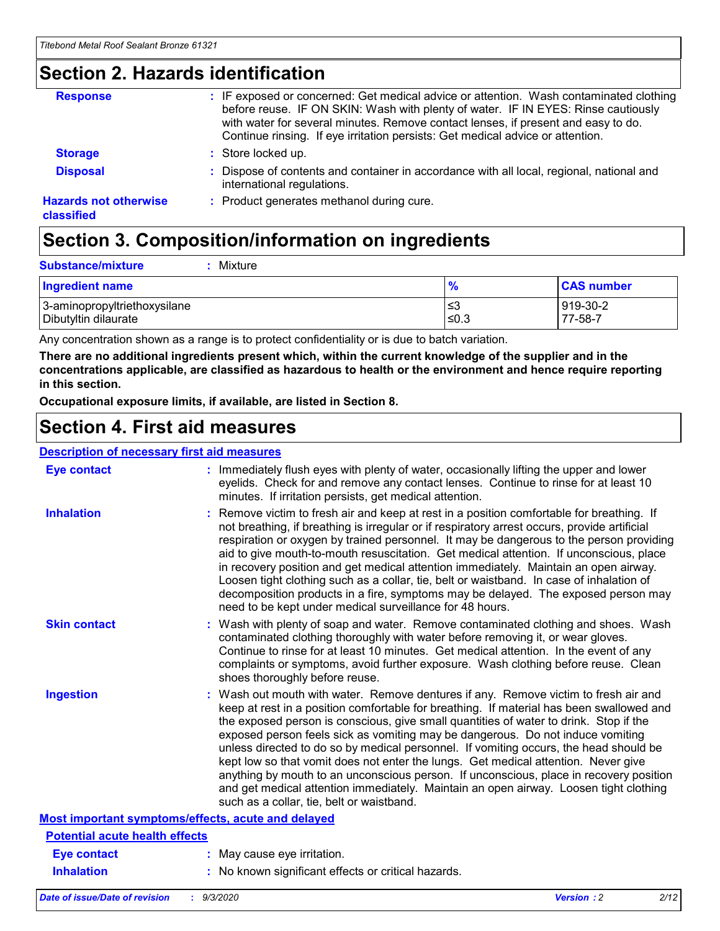### **Section 2. Hazards identification**

| <b>Response</b>                            | : IF exposed or concerned: Get medical advice or attention. Wash contaminated clothing<br>before reuse. IF ON SKIN: Wash with plenty of water. IF IN EYES: Rinse cautiously<br>with water for several minutes. Remove contact lenses, if present and easy to do.<br>Continue rinsing. If eye irritation persists: Get medical advice or attention. |
|--------------------------------------------|----------------------------------------------------------------------------------------------------------------------------------------------------------------------------------------------------------------------------------------------------------------------------------------------------------------------------------------------------|
| <b>Storage</b>                             | : Store locked up.                                                                                                                                                                                                                                                                                                                                 |
| <b>Disposal</b>                            | : Dispose of contents and container in accordance with all local, regional, national and<br>international regulations.                                                                                                                                                                                                                             |
| <b>Hazards not otherwise</b><br>classified | : Product generates methanol during cure.                                                                                                                                                                                                                                                                                                          |

# **Section 3. Composition/information on ingredients**

| <b>Ingredient name</b>       | $\frac{9}{6}$ | <b>CAS number</b> |
|------------------------------|---------------|-------------------|
| 3-aminopropyltriethoxysilane | ≤3            | 919-30-2          |
| Dibutyltin dilaurate         | ∣≤0.3         | 77-58-7           |

Any concentration shown as a range is to protect confidentiality or is due to batch variation.

**There are no additional ingredients present which, within the current knowledge of the supplier and in the concentrations applicable, are classified as hazardous to health or the environment and hence require reporting in this section.**

**Occupational exposure limits, if available, are listed in Section 8.**

### **Section 4. First aid measures**

| <b>Description of necessary first aid measures</b> |                                                                                                                                                                                                                                                                                                                                                                                                                                                                                                                                                                                                                                                                                                                                                                           |
|----------------------------------------------------|---------------------------------------------------------------------------------------------------------------------------------------------------------------------------------------------------------------------------------------------------------------------------------------------------------------------------------------------------------------------------------------------------------------------------------------------------------------------------------------------------------------------------------------------------------------------------------------------------------------------------------------------------------------------------------------------------------------------------------------------------------------------------|
| <b>Eye contact</b>                                 | : Immediately flush eyes with plenty of water, occasionally lifting the upper and lower<br>eyelids. Check for and remove any contact lenses. Continue to rinse for at least 10<br>minutes. If irritation persists, get medical attention.                                                                                                                                                                                                                                                                                                                                                                                                                                                                                                                                 |
| <b>Inhalation</b>                                  | : Remove victim to fresh air and keep at rest in a position comfortable for breathing. If<br>not breathing, if breathing is irregular or if respiratory arrest occurs, provide artificial<br>respiration or oxygen by trained personnel. It may be dangerous to the person providing<br>aid to give mouth-to-mouth resuscitation. Get medical attention. If unconscious, place<br>in recovery position and get medical attention immediately. Maintain an open airway.<br>Loosen tight clothing such as a collar, tie, belt or waistband. In case of inhalation of<br>decomposition products in a fire, symptoms may be delayed. The exposed person may<br>need to be kept under medical surveillance for 48 hours.                                                       |
| <b>Skin contact</b>                                | : Wash with plenty of soap and water. Remove contaminated clothing and shoes. Wash<br>contaminated clothing thoroughly with water before removing it, or wear gloves.<br>Continue to rinse for at least 10 minutes. Get medical attention. In the event of any<br>complaints or symptoms, avoid further exposure. Wash clothing before reuse. Clean<br>shoes thoroughly before reuse.                                                                                                                                                                                                                                                                                                                                                                                     |
| <b>Ingestion</b>                                   | : Wash out mouth with water. Remove dentures if any. Remove victim to fresh air and<br>keep at rest in a position comfortable for breathing. If material has been swallowed and<br>the exposed person is conscious, give small quantities of water to drink. Stop if the<br>exposed person feels sick as vomiting may be dangerous. Do not induce vomiting<br>unless directed to do so by medical personnel. If vomiting occurs, the head should be<br>kept low so that vomit does not enter the lungs. Get medical attention. Never give<br>anything by mouth to an unconscious person. If unconscious, place in recovery position<br>and get medical attention immediately. Maintain an open airway. Loosen tight clothing<br>such as a collar, tie, belt or waistband. |
| Most important symptoms/effects, acute and delayed |                                                                                                                                                                                                                                                                                                                                                                                                                                                                                                                                                                                                                                                                                                                                                                           |
| <b>Potential acute health effects</b>              |                                                                                                                                                                                                                                                                                                                                                                                                                                                                                                                                                                                                                                                                                                                                                                           |
| Eye contact                                        | : May cause eye irritation.                                                                                                                                                                                                                                                                                                                                                                                                                                                                                                                                                                                                                                                                                                                                               |
| <b>Inhalation</b>                                  | : No known significant effects or critical hazards.                                                                                                                                                                                                                                                                                                                                                                                                                                                                                                                                                                                                                                                                                                                       |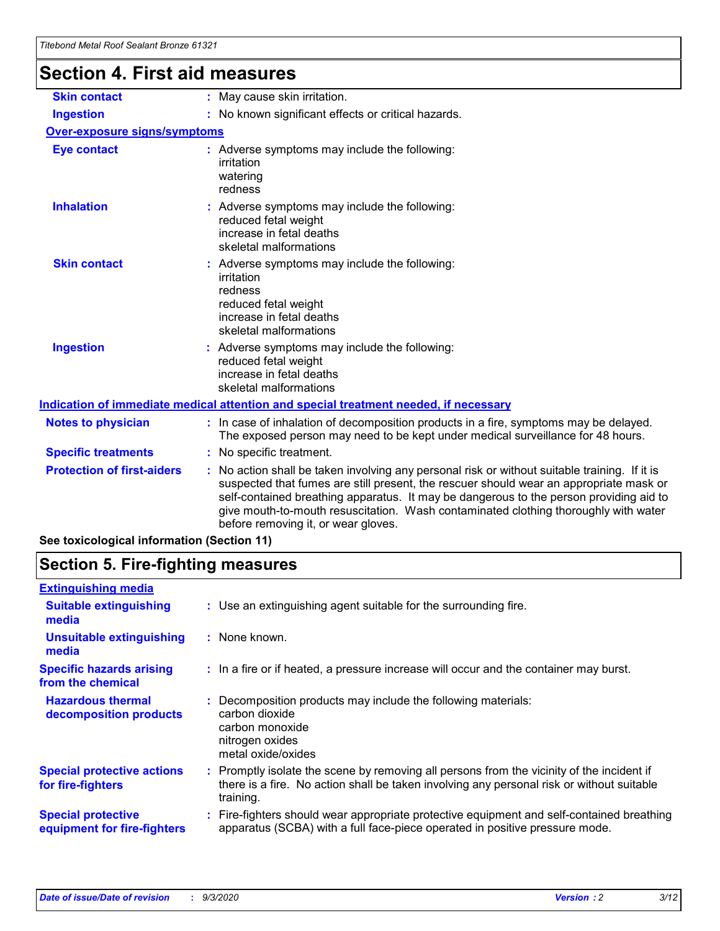# **Section 4. First aid measures**

| <b>Skin contact</b>                 | : May cause skin irritation.                                                                                                                                                                                                                                                                                                                                                                                    |
|-------------------------------------|-----------------------------------------------------------------------------------------------------------------------------------------------------------------------------------------------------------------------------------------------------------------------------------------------------------------------------------------------------------------------------------------------------------------|
| <b>Ingestion</b>                    | : No known significant effects or critical hazards.                                                                                                                                                                                                                                                                                                                                                             |
| <b>Over-exposure signs/symptoms</b> |                                                                                                                                                                                                                                                                                                                                                                                                                 |
| <b>Eye contact</b>                  | : Adverse symptoms may include the following:<br>irritation<br>watering<br>redness                                                                                                                                                                                                                                                                                                                              |
| <b>Inhalation</b>                   | : Adverse symptoms may include the following:<br>reduced fetal weight<br>increase in fetal deaths<br>skeletal malformations                                                                                                                                                                                                                                                                                     |
| <b>Skin contact</b>                 | : Adverse symptoms may include the following:<br>irritation<br>redness<br>reduced fetal weight<br>increase in fetal deaths<br>skeletal malformations                                                                                                                                                                                                                                                            |
| <b>Ingestion</b>                    | : Adverse symptoms may include the following:<br>reduced fetal weight<br>increase in fetal deaths<br>skeletal malformations                                                                                                                                                                                                                                                                                     |
|                                     | <u>Indication of immediate medical attention and special treatment needed, if necessary</u>                                                                                                                                                                                                                                                                                                                     |
| <b>Notes to physician</b>           | : In case of inhalation of decomposition products in a fire, symptoms may be delayed.<br>The exposed person may need to be kept under medical surveillance for 48 hours.                                                                                                                                                                                                                                        |
| <b>Specific treatments</b>          | : No specific treatment.                                                                                                                                                                                                                                                                                                                                                                                        |
| <b>Protection of first-aiders</b>   | : No action shall be taken involving any personal risk or without suitable training. If it is<br>suspected that fumes are still present, the rescuer should wear an appropriate mask or<br>self-contained breathing apparatus. It may be dangerous to the person providing aid to<br>give mouth-to-mouth resuscitation. Wash contaminated clothing thoroughly with water<br>before removing it, or wear gloves. |
|                                     |                                                                                                                                                                                                                                                                                                                                                                                                                 |

**See toxicological information (Section 11)**

### **Section 5. Fire-fighting measures**

| <b>Extinguishing media</b>                               |                                                                                                                                                                                                     |
|----------------------------------------------------------|-----------------------------------------------------------------------------------------------------------------------------------------------------------------------------------------------------|
| <b>Suitable extinguishing</b><br>media                   | : Use an extinguishing agent suitable for the surrounding fire.                                                                                                                                     |
| <b>Unsuitable extinguishing</b><br>media                 | : None known.                                                                                                                                                                                       |
| <b>Specific hazards arising</b><br>from the chemical     | : In a fire or if heated, a pressure increase will occur and the container may burst.                                                                                                               |
| <b>Hazardous thermal</b><br>decomposition products       | Decomposition products may include the following materials:<br>carbon dioxide<br>carbon monoxide<br>nitrogen oxides<br>metal oxide/oxides                                                           |
| <b>Special protective actions</b><br>for fire-fighters   | : Promptly isolate the scene by removing all persons from the vicinity of the incident if<br>there is a fire. No action shall be taken involving any personal risk or without suitable<br>training. |
| <b>Special protective</b><br>equipment for fire-fighters | : Fire-fighters should wear appropriate protective equipment and self-contained breathing<br>apparatus (SCBA) with a full face-piece operated in positive pressure mode.                            |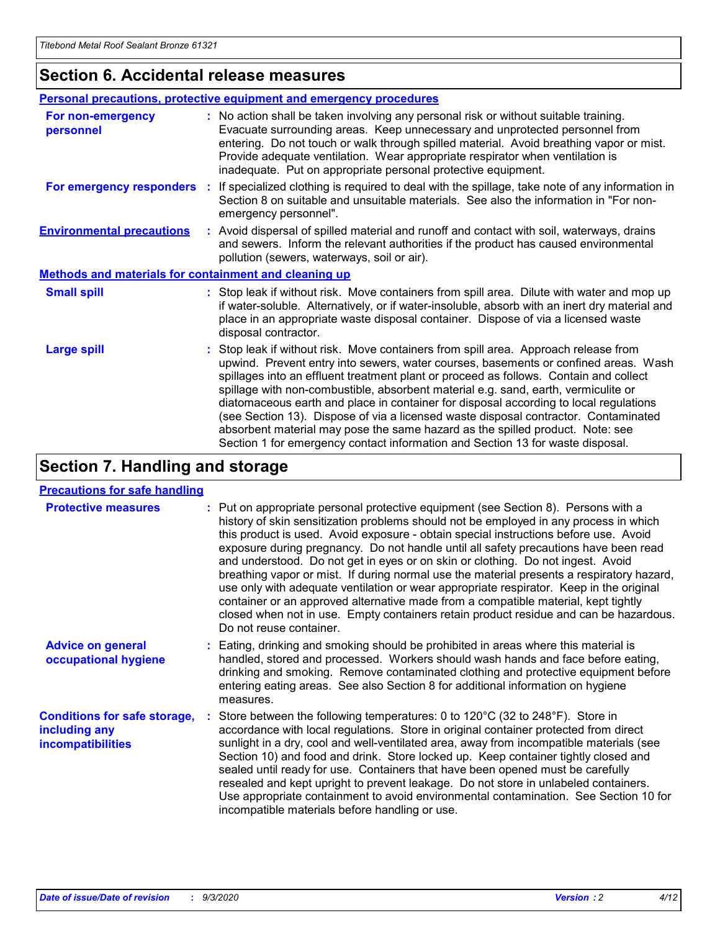### **Section 6. Accidental release measures**

|                                                              | <b>Personal precautions, protective equipment and emergency procedures</b>                                                                                                                                                                                                                                                                                                                                                                                                                                                                                                                                                                                                                                   |  |  |
|--------------------------------------------------------------|--------------------------------------------------------------------------------------------------------------------------------------------------------------------------------------------------------------------------------------------------------------------------------------------------------------------------------------------------------------------------------------------------------------------------------------------------------------------------------------------------------------------------------------------------------------------------------------------------------------------------------------------------------------------------------------------------------------|--|--|
| For non-emergency<br>personnel                               | : No action shall be taken involving any personal risk or without suitable training.<br>Evacuate surrounding areas. Keep unnecessary and unprotected personnel from<br>entering. Do not touch or walk through spilled material. Avoid breathing vapor or mist.<br>Provide adequate ventilation. Wear appropriate respirator when ventilation is<br>inadequate. Put on appropriate personal protective equipment.                                                                                                                                                                                                                                                                                             |  |  |
| For emergency responders                                     | : If specialized clothing is required to deal with the spillage, take note of any information in<br>Section 8 on suitable and unsuitable materials. See also the information in "For non-<br>emergency personnel".                                                                                                                                                                                                                                                                                                                                                                                                                                                                                           |  |  |
| <b>Environmental precautions</b>                             | : Avoid dispersal of spilled material and runoff and contact with soil, waterways, drains<br>and sewers. Inform the relevant authorities if the product has caused environmental<br>pollution (sewers, waterways, soil or air).                                                                                                                                                                                                                                                                                                                                                                                                                                                                              |  |  |
| <b>Methods and materials for containment and cleaning up</b> |                                                                                                                                                                                                                                                                                                                                                                                                                                                                                                                                                                                                                                                                                                              |  |  |
| <b>Small spill</b>                                           | : Stop leak if without risk. Move containers from spill area. Dilute with water and mop up<br>if water-soluble. Alternatively, or if water-insoluble, absorb with an inert dry material and<br>place in an appropriate waste disposal container. Dispose of via a licensed waste<br>disposal contractor.                                                                                                                                                                                                                                                                                                                                                                                                     |  |  |
| <b>Large spill</b>                                           | : Stop leak if without risk. Move containers from spill area. Approach release from<br>upwind. Prevent entry into sewers, water courses, basements or confined areas. Wash<br>spillages into an effluent treatment plant or proceed as follows. Contain and collect<br>spillage with non-combustible, absorbent material e.g. sand, earth, vermiculite or<br>diatomaceous earth and place in container for disposal according to local regulations<br>(see Section 13). Dispose of via a licensed waste disposal contractor. Contaminated<br>absorbent material may pose the same hazard as the spilled product. Note: see<br>Section 1 for emergency contact information and Section 13 for waste disposal. |  |  |

### **Section 7. Handling and storage**

#### **Precautions for safe handling**

| <b>Protective measures</b>                                                       | : Put on appropriate personal protective equipment (see Section 8). Persons with a<br>history of skin sensitization problems should not be employed in any process in which<br>this product is used. Avoid exposure - obtain special instructions before use. Avoid<br>exposure during pregnancy. Do not handle until all safety precautions have been read<br>and understood. Do not get in eyes or on skin or clothing. Do not ingest. Avoid<br>breathing vapor or mist. If during normal use the material presents a respiratory hazard,<br>use only with adequate ventilation or wear appropriate respirator. Keep in the original<br>container or an approved alternative made from a compatible material, kept tightly<br>closed when not in use. Empty containers retain product residue and can be hazardous.<br>Do not reuse container. |
|----------------------------------------------------------------------------------|--------------------------------------------------------------------------------------------------------------------------------------------------------------------------------------------------------------------------------------------------------------------------------------------------------------------------------------------------------------------------------------------------------------------------------------------------------------------------------------------------------------------------------------------------------------------------------------------------------------------------------------------------------------------------------------------------------------------------------------------------------------------------------------------------------------------------------------------------|
| <b>Advice on general</b><br>occupational hygiene                                 | : Eating, drinking and smoking should be prohibited in areas where this material is<br>handled, stored and processed. Workers should wash hands and face before eating,<br>drinking and smoking. Remove contaminated clothing and protective equipment before<br>entering eating areas. See also Section 8 for additional information on hygiene<br>measures.                                                                                                                                                                                                                                                                                                                                                                                                                                                                                    |
| <b>Conditions for safe storage,</b><br>including any<br><i>incompatibilities</i> | Store between the following temperatures: 0 to 120°C (32 to 248°F). Store in<br>accordance with local regulations. Store in original container protected from direct<br>sunlight in a dry, cool and well-ventilated area, away from incompatible materials (see<br>Section 10) and food and drink. Store locked up. Keep container tightly closed and<br>sealed until ready for use. Containers that have been opened must be carefully<br>resealed and kept upright to prevent leakage. Do not store in unlabeled containers.<br>Use appropriate containment to avoid environmental contamination. See Section 10 for<br>incompatible materials before handling or use.                                                                                                                                                                         |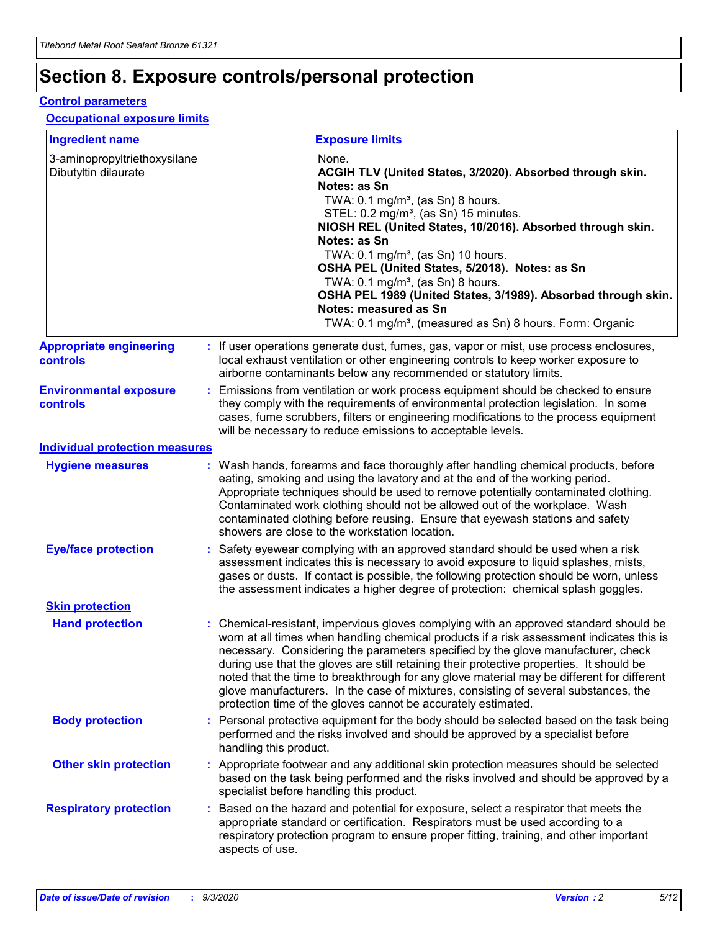# **Section 8. Exposure controls/personal protection**

#### **Control parameters**

#### **Occupational exposure limits**

| <b>Ingredient name</b>                               |    |                        | <b>Exposure limits</b>                                                                                                                                                                                                                                                                                                                                                                                                                                                                                                                                                                                                 |
|------------------------------------------------------|----|------------------------|------------------------------------------------------------------------------------------------------------------------------------------------------------------------------------------------------------------------------------------------------------------------------------------------------------------------------------------------------------------------------------------------------------------------------------------------------------------------------------------------------------------------------------------------------------------------------------------------------------------------|
| 3-aminopropyltriethoxysilane<br>Dibutyltin dilaurate |    |                        | None.<br>ACGIH TLV (United States, 3/2020). Absorbed through skin.<br>Notes: as Sn<br>TWA: $0.1 \text{ mg/m}^3$ , (as Sn) 8 hours.<br>STEL: 0.2 mg/m <sup>3</sup> , (as Sn) 15 minutes.<br>NIOSH REL (United States, 10/2016). Absorbed through skin.<br>Notes: as Sn<br>TWA: 0.1 mg/m <sup>3</sup> , (as Sn) 10 hours.<br>OSHA PEL (United States, 5/2018). Notes: as Sn<br>TWA: $0.1 \text{ mg/m}^3$ , (as Sn) 8 hours.<br>OSHA PEL 1989 (United States, 3/1989). Absorbed through skin.<br>Notes: measured as Sn<br>TWA: 0.1 mg/m <sup>3</sup> , (measured as Sn) 8 hours. Form: Organic                            |
| <b>Appropriate engineering</b><br>controls           |    |                        | : If user operations generate dust, fumes, gas, vapor or mist, use process enclosures,<br>local exhaust ventilation or other engineering controls to keep worker exposure to<br>airborne contaminants below any recommended or statutory limits.                                                                                                                                                                                                                                                                                                                                                                       |
| <b>Environmental exposure</b><br>controls            |    |                        | Emissions from ventilation or work process equipment should be checked to ensure<br>they comply with the requirements of environmental protection legislation. In some<br>cases, fume scrubbers, filters or engineering modifications to the process equipment<br>will be necessary to reduce emissions to acceptable levels.                                                                                                                                                                                                                                                                                          |
| <b>Individual protection measures</b>                |    |                        |                                                                                                                                                                                                                                                                                                                                                                                                                                                                                                                                                                                                                        |
| <b>Hygiene measures</b>                              |    |                        | : Wash hands, forearms and face thoroughly after handling chemical products, before<br>eating, smoking and using the lavatory and at the end of the working period.<br>Appropriate techniques should be used to remove potentially contaminated clothing.<br>Contaminated work clothing should not be allowed out of the workplace. Wash<br>contaminated clothing before reusing. Ensure that eyewash stations and safety<br>showers are close to the workstation location.                                                                                                                                            |
| <b>Eye/face protection</b>                           |    |                        | : Safety eyewear complying with an approved standard should be used when a risk<br>assessment indicates this is necessary to avoid exposure to liquid splashes, mists,<br>gases or dusts. If contact is possible, the following protection should be worn, unless<br>the assessment indicates a higher degree of protection: chemical splash goggles.                                                                                                                                                                                                                                                                  |
| <b>Skin protection</b>                               |    |                        |                                                                                                                                                                                                                                                                                                                                                                                                                                                                                                                                                                                                                        |
| <b>Hand protection</b>                               |    |                        | : Chemical-resistant, impervious gloves complying with an approved standard should be<br>worn at all times when handling chemical products if a risk assessment indicates this is<br>necessary. Considering the parameters specified by the glove manufacturer, check<br>during use that the gloves are still retaining their protective properties. It should be<br>noted that the time to breakthrough for any glove material may be different for different<br>glove manufacturers. In the case of mixtures, consisting of several substances, the<br>protection time of the gloves cannot be accurately estimated. |
| <b>Body protection</b>                               |    | handling this product. | Personal protective equipment for the body should be selected based on the task being<br>performed and the risks involved and should be approved by a specialist before                                                                                                                                                                                                                                                                                                                                                                                                                                                |
| <b>Other skin protection</b>                         |    |                        | : Appropriate footwear and any additional skin protection measures should be selected<br>based on the task being performed and the risks involved and should be approved by a<br>specialist before handling this product.                                                                                                                                                                                                                                                                                                                                                                                              |
| <b>Respiratory protection</b>                        | ÷. | aspects of use.        | Based on the hazard and potential for exposure, select a respirator that meets the<br>appropriate standard or certification. Respirators must be used according to a<br>respiratory protection program to ensure proper fitting, training, and other important                                                                                                                                                                                                                                                                                                                                                         |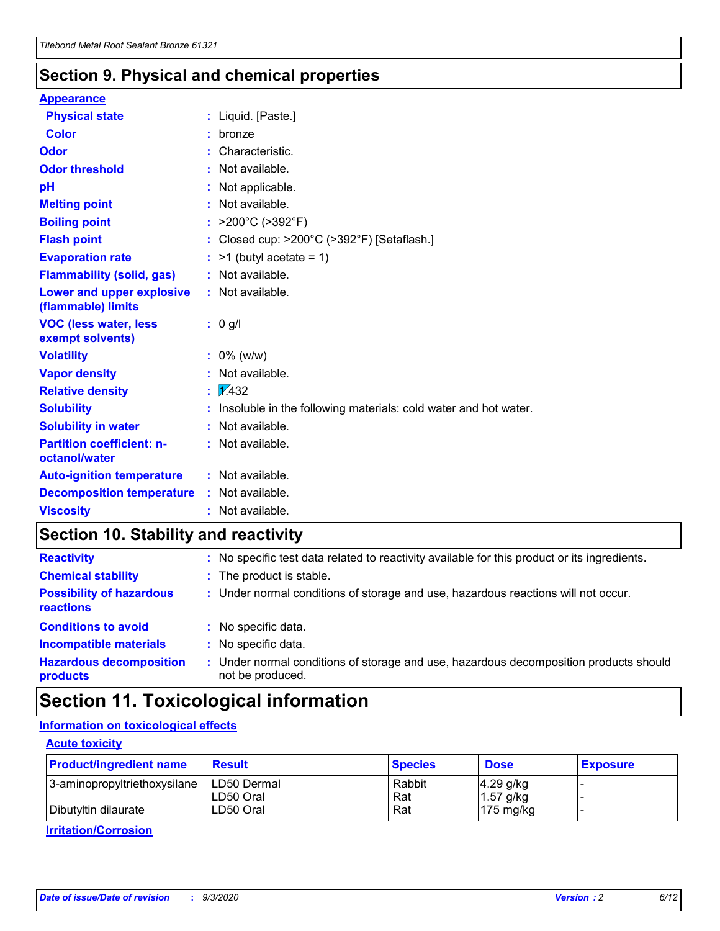### **Section 9. Physical and chemical properties**

#### **Appearance**

| <b>Physical state</b>                             | : Liquid. [Paste.]                                              |
|---------------------------------------------------|-----------------------------------------------------------------|
| <b>Color</b>                                      | bronze                                                          |
| Odor                                              | Characteristic.                                                 |
| <b>Odor threshold</b>                             | : Not available.                                                |
| рH                                                | : Not applicable.                                               |
| <b>Melting point</b>                              | : Not available.                                                |
| <b>Boiling point</b>                              | : $>200^{\circ}$ C ( $>392^{\circ}$ F)                          |
| <b>Flash point</b>                                | : Closed cup: >200°C (>392°F) [Setaflash.]                      |
| <b>Evaporation rate</b>                           | $:$ >1 (butyl acetate = 1)                                      |
| <b>Flammability (solid, gas)</b>                  | : Not available.                                                |
| Lower and upper explosive<br>(flammable) limits   | : Not available.                                                |
| <b>VOC (less water, less</b><br>exempt solvents)  | : 0 g/l                                                         |
| <b>Volatility</b>                                 | $: 0\%$ (w/w)                                                   |
| <b>Vapor density</b>                              | : Not available.                                                |
| <b>Relative density</b>                           | $\sqrt{x}$ 432                                                  |
| <b>Solubility</b>                                 | Insoluble in the following materials: cold water and hot water. |
| <b>Solubility in water</b>                        | : Not available.                                                |
| <b>Partition coefficient: n-</b><br>octanol/water | $:$ Not available.                                              |
| <b>Auto-ignition temperature</b>                  | : Not available.                                                |
|                                                   |                                                                 |
| <b>Decomposition temperature</b>                  | : Not available.                                                |

### **Section 10. Stability and reactivity**

| <b>Reactivity</b>                            | : No specific test data related to reactivity available for this product or its ingredients.            |
|----------------------------------------------|---------------------------------------------------------------------------------------------------------|
| <b>Chemical stability</b>                    | : The product is stable.                                                                                |
| <b>Possibility of hazardous</b><br>reactions | : Under normal conditions of storage and use, hazardous reactions will not occur.                       |
| <b>Conditions to avoid</b>                   | : No specific data.                                                                                     |
| <b>Incompatible materials</b>                | : No specific data.                                                                                     |
| <b>Hazardous decomposition</b><br>products   | Under normal conditions of storage and use, hazardous decomposition products should<br>not be produced. |

### **Section 11. Toxicological information**

#### **Information on toxicological effects**

#### **Acute toxicity**

| <b>Product/ingredient name</b> | <b>Result</b>           | <b>Species</b> | <b>Dose</b>                | <b>Exposure</b> |
|--------------------------------|-------------------------|----------------|----------------------------|-----------------|
| 3-aminopropyltriethoxysilane   | <b>ILD50 Dermal</b>     | Rabbit         | 4.29 g/kg                  |                 |
| Dibutyltin dilaurate           | ILD50 Oral<br>LD50 Oral | Rat<br>Rat     | $1.57$ g/kg<br>175 $mg/kg$ |                 |
|                                |                         |                |                            |                 |

**Irritation/Corrosion**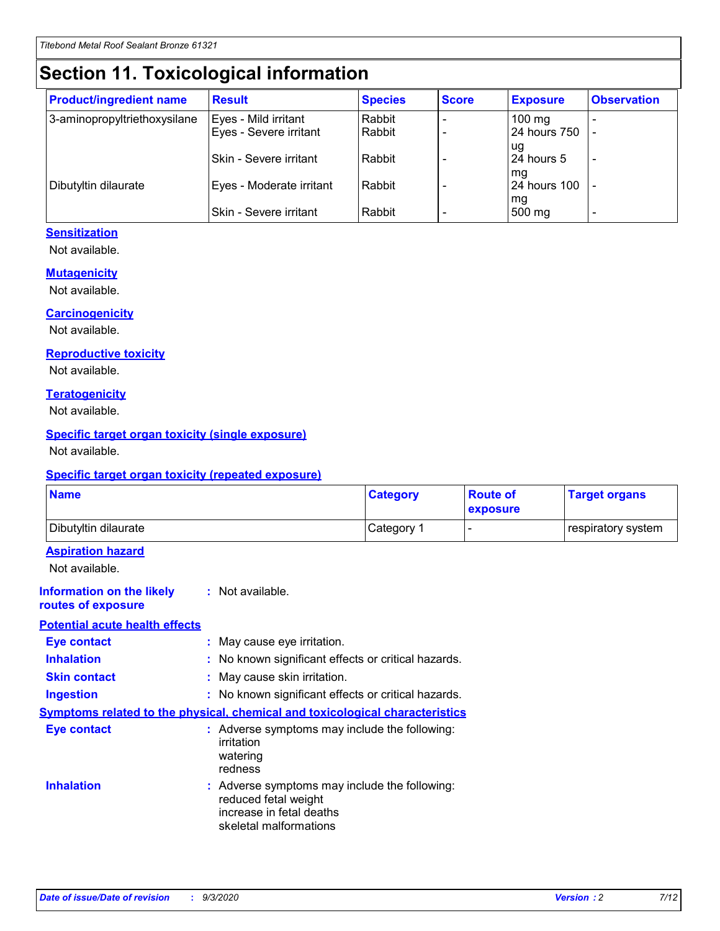# **Section 11. Toxicological information**

| <b>Product/ingredient name</b> | <b>Result</b>            | <b>Species</b> | <b>Score</b> | <b>Exposure</b>           | <b>Observation</b> |
|--------------------------------|--------------------------|----------------|--------------|---------------------------|--------------------|
| 3-aminopropyltriethoxysilane   | Eyes - Mild irritant     | Rabbit         |              | $100$ mg                  |                    |
|                                | Eyes - Severe irritant   | Rabbit         |              | 24 hours 750              |                    |
|                                |                          |                |              | ug                        |                    |
|                                | Skin - Severe irritant   | Rabbit         |              | 24 hours 5                | -                  |
| Dibutyltin dilaurate           | Eyes - Moderate irritant | Rabbit         |              | mq<br><b>24 hours 100</b> |                    |
|                                |                          |                |              | mg                        |                    |
|                                | Skin - Severe irritant   | Rabbit         |              | 500 mg                    |                    |

#### **Sensitization**

Not available.

#### **Mutagenicity**

Not available.

#### **Carcinogenicity**

Not available.

#### **Reproductive toxicity**

Not available.

#### **Teratogenicity**

Not available.

#### **Specific target organ toxicity (single exposure)**

Not available.

#### **Specific target organ toxicity (repeated exposure)**

| <b>Name</b>                                                                         |                                                                            | <b>Category</b>                                     | <b>Route of</b><br>exposure | <b>Target organs</b> |  |  |
|-------------------------------------------------------------------------------------|----------------------------------------------------------------------------|-----------------------------------------------------|-----------------------------|----------------------|--|--|
| Dibutyltin dilaurate                                                                |                                                                            | Category 1                                          |                             | respiratory system   |  |  |
| <b>Aspiration hazard</b><br>Not available.                                          |                                                                            |                                                     |                             |                      |  |  |
| <b>Information on the likely</b><br>routes of exposure                              | : Not available.                                                           |                                                     |                             |                      |  |  |
| <b>Potential acute health effects</b>                                               |                                                                            |                                                     |                             |                      |  |  |
| <b>Eye contact</b>                                                                  | : May cause eye irritation.                                                |                                                     |                             |                      |  |  |
| <b>Inhalation</b>                                                                   |                                                                            | : No known significant effects or critical hazards. |                             |                      |  |  |
| <b>Skin contact</b>                                                                 |                                                                            | : May cause skin irritation.                        |                             |                      |  |  |
| <b>Ingestion</b>                                                                    |                                                                            | : No known significant effects or critical hazards. |                             |                      |  |  |
| <b>Symptoms related to the physical, chemical and toxicological characteristics</b> |                                                                            |                                                     |                             |                      |  |  |
| <b>Eye contact</b>                                                                  | irritation<br>watering<br>redness                                          | : Adverse symptoms may include the following:       |                             |                      |  |  |
| <b>Inhalation</b>                                                                   | reduced fetal weight<br>increase in fetal deaths<br>skeletal malformations | : Adverse symptoms may include the following:       |                             |                      |  |  |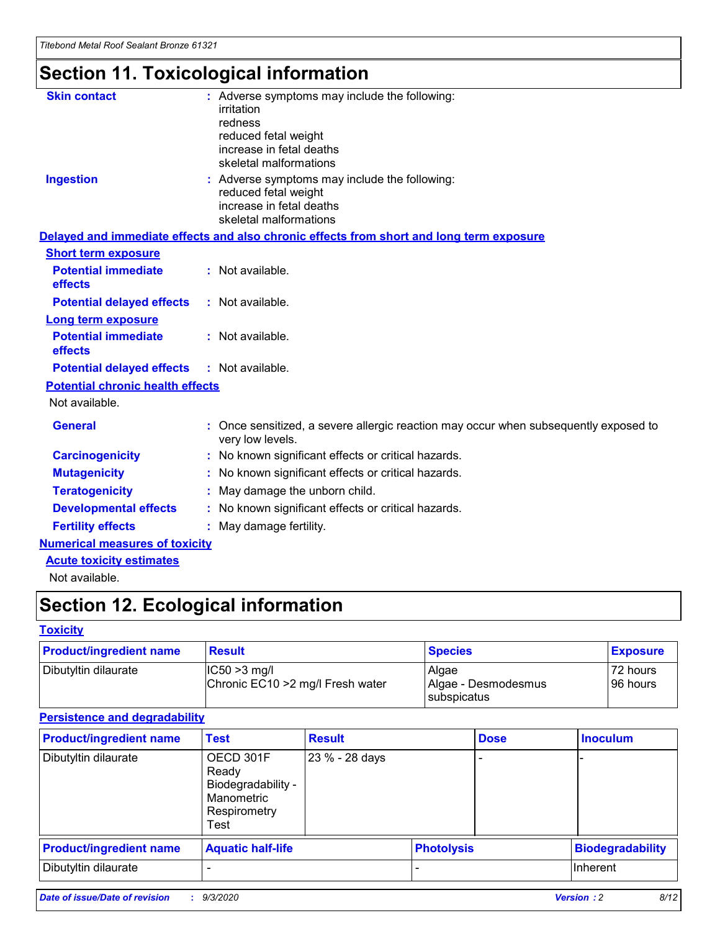# **Section 11. Toxicological information**

| <b>Skin contact</b>                     | : Adverse symptoms may include the following:<br>irritation                                              |
|-----------------------------------------|----------------------------------------------------------------------------------------------------------|
|                                         | redness                                                                                                  |
|                                         | reduced fetal weight                                                                                     |
|                                         | increase in fetal deaths                                                                                 |
|                                         | skeletal malformations                                                                                   |
| <b>Ingestion</b>                        | : Adverse symptoms may include the following:<br>reduced fetal weight                                    |
|                                         | increase in fetal deaths                                                                                 |
|                                         | skeletal malformations                                                                                   |
|                                         | Delayed and immediate effects and also chronic effects from short and long term exposure                 |
| <b>Short term exposure</b>              |                                                                                                          |
| <b>Potential immediate</b><br>effects   | : Not available.                                                                                         |
| <b>Potential delayed effects</b>        | : Not available.                                                                                         |
| Long term exposure                      |                                                                                                          |
| <b>Potential immediate</b>              | : Not available.                                                                                         |
| effects                                 |                                                                                                          |
| <b>Potential delayed effects</b>        | : Not available.                                                                                         |
| <b>Potential chronic health effects</b> |                                                                                                          |
| Not available.                          |                                                                                                          |
| <b>General</b>                          | : Once sensitized, a severe allergic reaction may occur when subsequently exposed to<br>very low levels. |
| <b>Carcinogenicity</b>                  | : No known significant effects or critical hazards.                                                      |
| <b>Mutagenicity</b>                     | No known significant effects or critical hazards.                                                        |
| <b>Teratogenicity</b>                   | May damage the unborn child.                                                                             |
| <b>Developmental effects</b>            | : No known significant effects or critical hazards.                                                      |
| <b>Fertility effects</b>                | : May damage fertility.                                                                                  |
| <b>Numerical measures of toxicity</b>   |                                                                                                          |
| <b>Acute toxicity estimates</b>         |                                                                                                          |
| .                                       |                                                                                                          |

Not available.

# **Section 12. Ecological information**

#### **Toxicity**

| <b>Product/ingredient name</b> | <b>Result</b>                                       | <b>Species</b>               | <b>Exposure</b>       |
|--------------------------------|-----------------------------------------------------|------------------------------|-----------------------|
| Dibutyltin dilaurate           | $ CC50>3$ mg/l<br>Chronic EC10 > 2 mg/l Fresh water | Algae<br>Algae - Desmodesmus | 72 hours<br>196 hours |
|                                |                                                     | <b>I</b> subspicatus         |                       |

#### **Persistence and degradability**

| <b>Product/ingredient name</b> | <b>Test</b>                                                                    | <b>Result</b>  |                   | <b>Dose</b> | <b>Inoculum</b>         |
|--------------------------------|--------------------------------------------------------------------------------|----------------|-------------------|-------------|-------------------------|
| Dibutyltin dilaurate           | OECD 301F<br>Ready<br>Biodegradability -<br>Manometric<br>Respirometry<br>Test | 23 % - 28 days |                   |             |                         |
| <b>Product/ingredient name</b> | <b>Aquatic half-life</b>                                                       |                | <b>Photolysis</b> |             | <b>Biodegradability</b> |
| Dibutyltin dilaurate           |                                                                                |                |                   |             | <b>Inherent</b>         |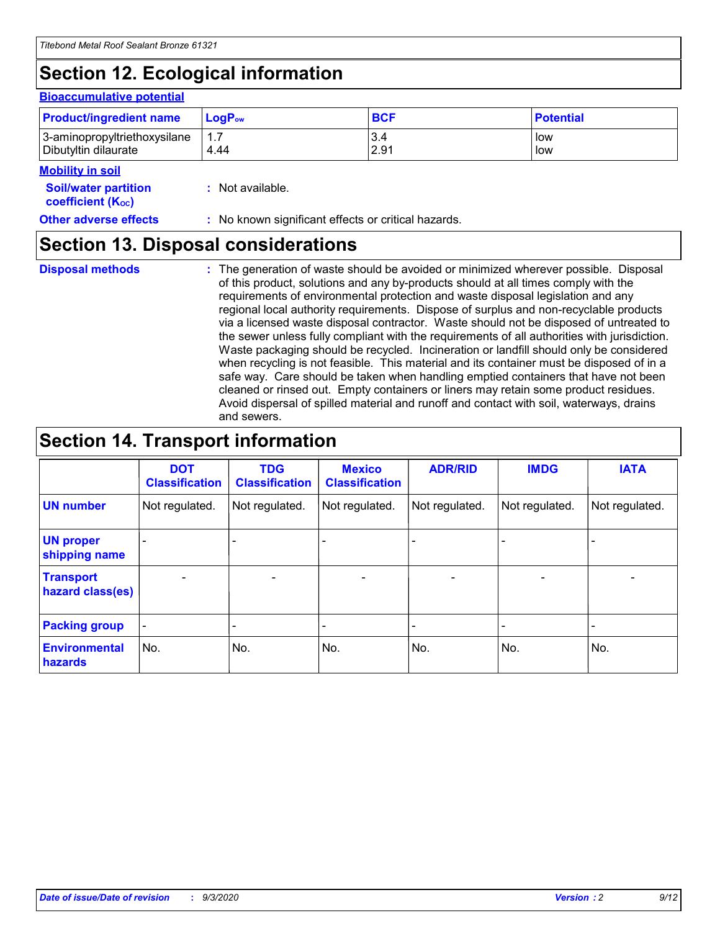# **Section 12. Ecological information**

#### **Bioaccumulative potential**

| <b>Product/ingredient name</b> | <b>LogP</b> <sub>ow</sub> | <b>BCF</b> | <b>Potential</b> |
|--------------------------------|---------------------------|------------|------------------|
| 3-aminopropyltriethoxysilane   | 4.44                      | 3.4        | low              |
| Dibutyltin dilaurate           |                           | 2.91       | low              |

#### **Mobility in soil**

| <b>Soil/water partition</b>    | : Not available. |
|--------------------------------|------------------|
| coefficient (K <sub>oc</sub> ) |                  |

**Other adverse effects** : No known significant effects or critical hazards.

### **Section 13. Disposal considerations**

**Disposal methods :**

The generation of waste should be avoided or minimized wherever possible. Disposal of this product, solutions and any by-products should at all times comply with the requirements of environmental protection and waste disposal legislation and any regional local authority requirements. Dispose of surplus and non-recyclable products via a licensed waste disposal contractor. Waste should not be disposed of untreated to the sewer unless fully compliant with the requirements of all authorities with jurisdiction. Waste packaging should be recycled. Incineration or landfill should only be considered when recycling is not feasible. This material and its container must be disposed of in a safe way. Care should be taken when handling emptied containers that have not been cleaned or rinsed out. Empty containers or liners may retain some product residues. Avoid dispersal of spilled material and runoff and contact with soil, waterways, drains and sewers.

### **Section 14. Transport information**

|                                      | <b>DOT</b><br><b>Classification</b> | <b>TDG</b><br><b>Classification</b> | <b>Mexico</b><br><b>Classification</b> | <b>ADR/RID</b>           | <b>IMDG</b>              | <b>IATA</b>    |
|--------------------------------------|-------------------------------------|-------------------------------------|----------------------------------------|--------------------------|--------------------------|----------------|
| <b>UN number</b>                     | Not regulated.                      | Not regulated.                      | Not regulated.                         | Not regulated.           | Not regulated.           | Not regulated. |
| <b>UN proper</b><br>shipping name    |                                     |                                     |                                        |                          |                          |                |
| <b>Transport</b><br>hazard class(es) |                                     | $\overline{\phantom{0}}$            | $\qquad \qquad \blacksquare$           | $\overline{\phantom{0}}$ | $\overline{\phantom{0}}$ |                |
| <b>Packing group</b>                 |                                     |                                     |                                        |                          |                          |                |
| <b>Environmental</b><br>hazards      | No.                                 | No.                                 | No.                                    | No.                      | No.                      | No.            |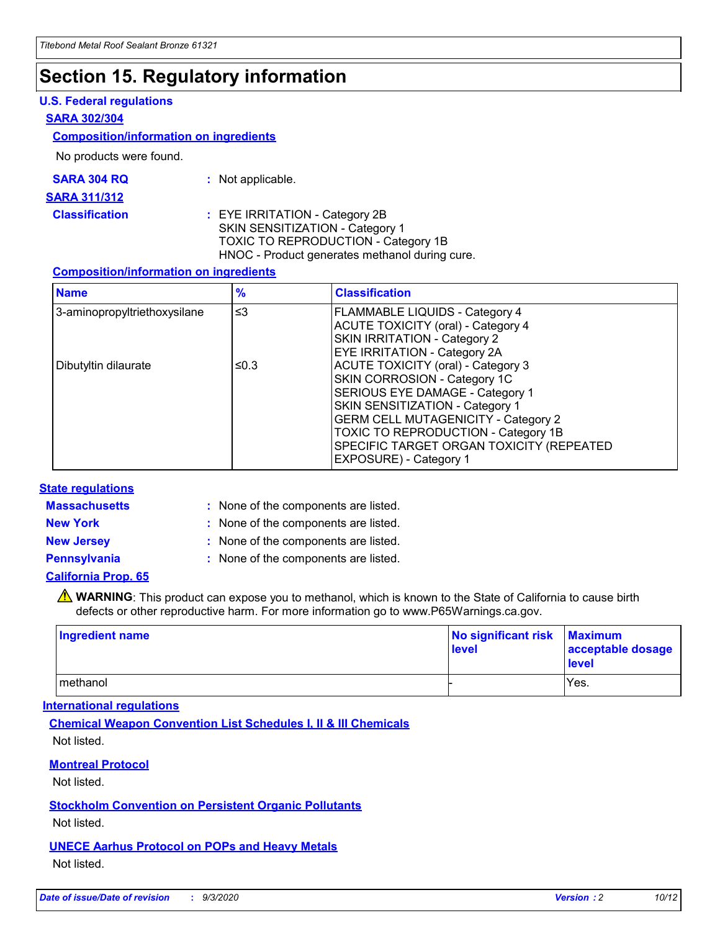### **Section 15. Regulatory information**

#### **U.S. Federal regulations**

#### **SARA 302/304**

#### **Composition/information on ingredients**

No products were found.

| SARA 304 RQ | Not applicable. |
|-------------|-----------------|
|-------------|-----------------|

#### **SARA 311/312**

#### **Classification :** EYE IRRITATION - Category 2B SKIN SENSITIZATION - Category 1 TOXIC TO REPRODUCTION - Category 1B HNOC - Product generates methanol during cure.

#### **Composition/information on ingredients**

| <b>Name</b>                  | $\frac{9}{6}$ | <b>Classification</b>                                                                                                                                                                                                                                                                                      |
|------------------------------|---------------|------------------------------------------------------------------------------------------------------------------------------------------------------------------------------------------------------------------------------------------------------------------------------------------------------------|
| 3-aminopropyltriethoxysilane | $\leq$ 3      | <b>FLAMMABLE LIQUIDS - Category 4</b><br><b>ACUTE TOXICITY (oral) - Category 4</b><br><b>SKIN IRRITATION - Category 2</b><br>EYE IRRITATION - Category 2A                                                                                                                                                  |
| Dibutyltin dilaurate         | ≤0.3          | <b>ACUTE TOXICITY (oral) - Category 3</b><br>SKIN CORROSION - Category 1C<br>SERIOUS EYE DAMAGE - Category 1<br>SKIN SENSITIZATION - Category 1<br><b>GERM CELL MUTAGENICITY - Category 2</b><br>TOXIC TO REPRODUCTION - Category 1B<br>SPECIFIC TARGET ORGAN TOXICITY (REPEATED<br>EXPOSURE) - Category 1 |

#### **State regulations**

**Massachusetts :**

: None of the components are listed.

**New York :** None of the components are listed. **New Jersey :** None of the components are listed.

**Pennsylvania :** None of the components are listed.

#### **California Prop. 65**

WARNING: This product can expose you to methanol, which is known to the State of California to cause birth defects or other reproductive harm. For more information go to www.P65Warnings.ca.gov.

| Ingredient name | No significant risk<br>level | <b>Maximum</b><br>acceptable dosage<br>level |
|-----------------|------------------------------|----------------------------------------------|
| methanol        |                              | Yes.                                         |

#### **International regulations**

**Chemical Weapon Convention List Schedules I, II & III Chemicals** Not listed.

#### **Montreal Protocol**

Not listed.

**Stockholm Convention on Persistent Organic Pollutants**

Not listed.

#### **UNECE Aarhus Protocol on POPs and Heavy Metals** Not listed.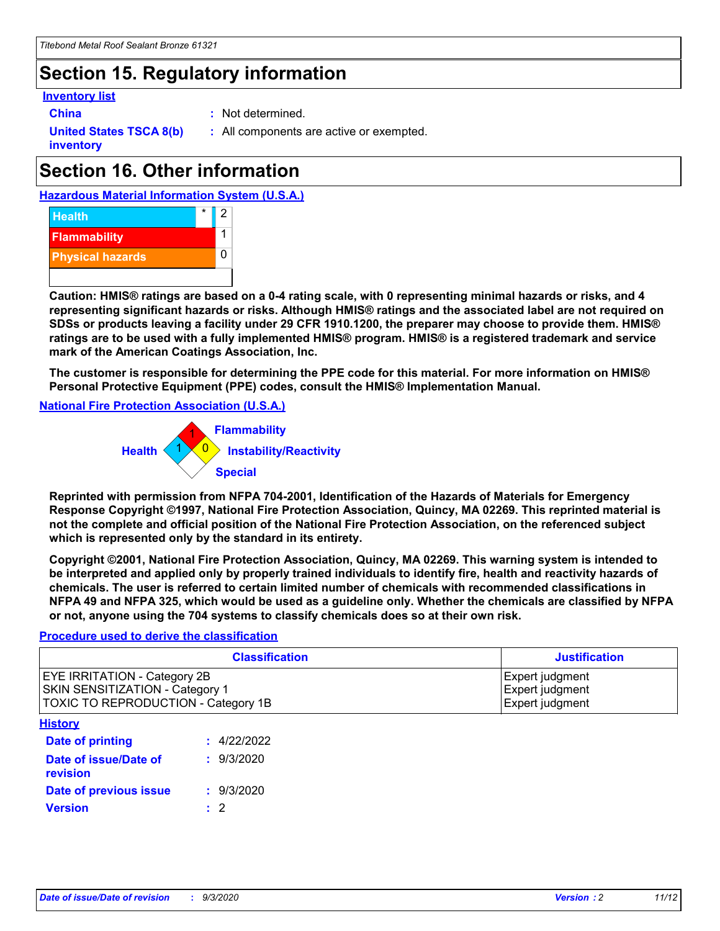## **Section 15. Regulatory information**

#### **Inventory list**

**China :** Not determined.

**United States TSCA 8(b) inventory**

**:** All components are active or exempted.

# **Section 16. Other information**





**Caution: HMIS® ratings are based on a 0-4 rating scale, with 0 representing minimal hazards or risks, and 4 representing significant hazards or risks. Although HMIS® ratings and the associated label are not required on SDSs or products leaving a facility under 29 CFR 1910.1200, the preparer may choose to provide them. HMIS® ratings are to be used with a fully implemented HMIS® program. HMIS® is a registered trademark and service mark of the American Coatings Association, Inc.**

**The customer is responsible for determining the PPE code for this material. For more information on HMIS® Personal Protective Equipment (PPE) codes, consult the HMIS® Implementation Manual.**

**National Fire Protection Association (U.S.A.)**



**Reprinted with permission from NFPA 704-2001, Identification of the Hazards of Materials for Emergency Response Copyright ©1997, National Fire Protection Association, Quincy, MA 02269. This reprinted material is not the complete and official position of the National Fire Protection Association, on the referenced subject which is represented only by the standard in its entirety.**

**Copyright ©2001, National Fire Protection Association, Quincy, MA 02269. This warning system is intended to be interpreted and applied only by properly trained individuals to identify fire, health and reactivity hazards of chemicals. The user is referred to certain limited number of chemicals with recommended classifications in NFPA 49 and NFPA 325, which would be used as a guideline only. Whether the chemicals are classified by NFPA or not, anyone using the 704 systems to classify chemicals does so at their own risk.**

#### **Procedure used to derive the classification**

| <b>Classification</b>                                                                                         | <b>Justification</b>                                  |
|---------------------------------------------------------------------------------------------------------------|-------------------------------------------------------|
| <b>EYE IRRITATION - Category 2B</b><br>SKIN SENSITIZATION - Category 1<br>TOXIC TO REPRODUCTION - Category 1B | Expert judgment<br>Expert judgment<br>Expert judgment |
| <b>History</b>                                                                                                |                                                       |

| .                                 |             |
|-----------------------------------|-------------|
| Date of printing                  | : 4/22/2022 |
| Date of issue/Date of<br>revision | : 9/3/2020  |
| Date of previous issue            | : 9/3/2020  |
| <b>Version</b>                    | $\cdot$ 2   |
|                                   |             |